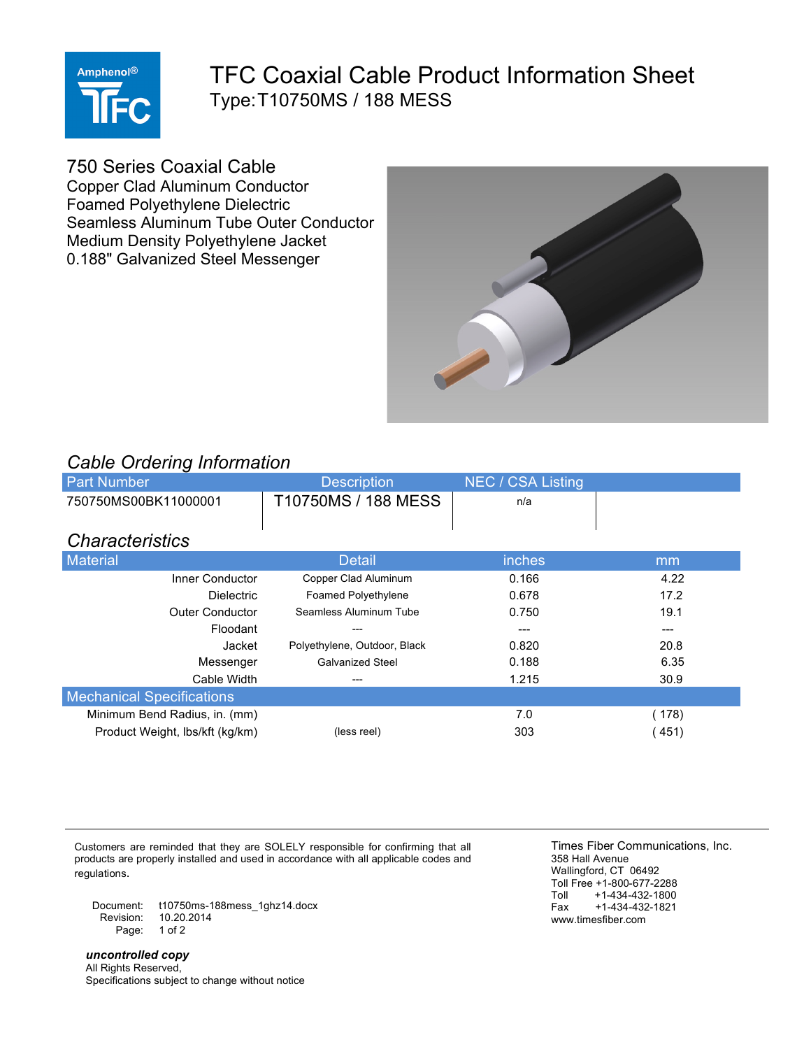

## TFC Coaxial Cable Product Information Sheet Type:T10750MS / 188 MESS

750 Series Coaxial Cable

Copper Clad Aluminum Conductor Foamed Polyethylene Dielectric Seamless Aluminum Tube Outer Conductor Medium Density Polyethylene Jacket 0.188" Galvanized Steel Messenger



## *Cable Ordering Information*

| $\sim$ , a $\sim$ , $\sim$ , $\sim$ , $\sim$ , $\sim$ , $\sim$ , $\sim$ , $\sim$ , $\sim$ , $\sim$ , $\sim$ , $\sim$ , $\sim$ , $\sim$ , $\sim$ , $\sim$ , $\sim$ , $\sim$ , $\sim$ , $\sim$ , $\sim$ , $\sim$ , $\sim$ , $\sim$ , $\sim$ , $\sim$ , $\sim$ , $\sim$ , $\sim$ , $\sim$ , $\sim$ , $\sim$ , $\sim$ , $\sim$ , $\sim$ , $\sim$ |                              |                          |       |  |  |  |  |
|----------------------------------------------------------------------------------------------------------------------------------------------------------------------------------------------------------------------------------------------------------------------------------------------------------------------------------------------|------------------------------|--------------------------|-------|--|--|--|--|
| <b>Part Number</b>                                                                                                                                                                                                                                                                                                                           | <b>Description</b>           | <b>NEC / CSA Listing</b> |       |  |  |  |  |
| 750750MS00BK11000001                                                                                                                                                                                                                                                                                                                         | T10750MS / 188 MESS          | n/a                      |       |  |  |  |  |
|                                                                                                                                                                                                                                                                                                                                              |                              |                          |       |  |  |  |  |
| <b>Characteristics</b>                                                                                                                                                                                                                                                                                                                       |                              |                          |       |  |  |  |  |
| Material                                                                                                                                                                                                                                                                                                                                     | <b>Detail</b>                | inches                   | mm    |  |  |  |  |
| Inner Conductor                                                                                                                                                                                                                                                                                                                              | Copper Clad Aluminum         | 0.166                    | 4.22  |  |  |  |  |
| <b>Dielectric</b>                                                                                                                                                                                                                                                                                                                            | <b>Foamed Polyethylene</b>   | 0.678                    | 17.2  |  |  |  |  |
| <b>Outer Conductor</b>                                                                                                                                                                                                                                                                                                                       | Seamless Aluminum Tube       | 0.750                    | 19.1  |  |  |  |  |
| Floodant                                                                                                                                                                                                                                                                                                                                     |                              |                          | ---   |  |  |  |  |
| Jacket                                                                                                                                                                                                                                                                                                                                       | Polyethylene, Outdoor, Black | 0.820                    | 20.8  |  |  |  |  |
| Messenger                                                                                                                                                                                                                                                                                                                                    | <b>Galvanized Steel</b>      | 0.188                    | 6.35  |  |  |  |  |
| Cable Width                                                                                                                                                                                                                                                                                                                                  |                              | 1.215                    | 30.9  |  |  |  |  |
| <b>Mechanical Specifications</b>                                                                                                                                                                                                                                                                                                             |                              |                          |       |  |  |  |  |
| Minimum Bend Radius, in. (mm)                                                                                                                                                                                                                                                                                                                |                              | 7.0                      | (178) |  |  |  |  |
| Product Weight, Ibs/kft (kg/km)                                                                                                                                                                                                                                                                                                              | (less reel)                  | 303                      | (451) |  |  |  |  |
|                                                                                                                                                                                                                                                                                                                                              |                              |                          |       |  |  |  |  |

Customers are reminded that they are SOLELY responsible for confirming that all products are properly installed and used in accordance with all applicable codes and regulations.

Document: t10750ms-188mess\_1ghz14.docx<br>Revision: 10.20.2014 Revision: 10.20.2014 Page: 1 of 2

*uncontrolled copy* All Rights Reserved, Specifications subject to change without notice

Times Fiber Communications, Inc. 358 Hall Avenue Wallingford, CT 06492 Toll Free +1-800-677-2288<br>Toll +1-434-432-1800 Toll +1-434-432-1800<br>Fax +1-434-432-1821 Fax +1-434-432-1821 www.timesfiber.com